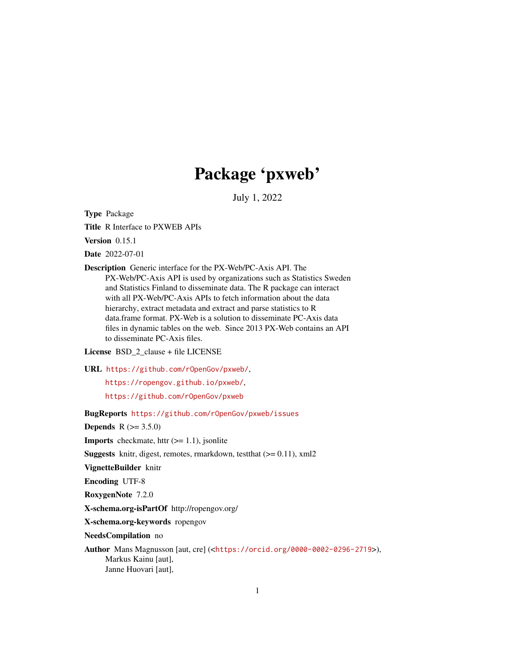## Package 'pxweb'

July 1, 2022

<span id="page-0-0"></span>Type Package

Title R Interface to PXWEB APIs

Version 0.15.1

Date 2022-07-01

Description Generic interface for the PX-Web/PC-Axis API. The PX-Web/PC-Axis API is used by organizations such as Statistics Sweden and Statistics Finland to disseminate data. The R package can interact with all PX-Web/PC-Axis APIs to fetch information about the data hierarchy, extract metadata and extract and parse statistics to R data.frame format. PX-Web is a solution to disseminate PC-Axis data files in dynamic tables on the web. Since 2013 PX-Web contains an API to disseminate PC-Axis files.

License BSD\_2\_clause + file LICENSE

URL <https://github.com/rOpenGov/pxweb/>,

<https://ropengov.github.io/pxweb/>,

<https://github.com/rOpenGov/pxweb>

BugReports <https://github.com/rOpenGov/pxweb/issues>

**Depends** R  $(>= 3.5.0)$ 

**Imports** checkmate, httr  $(>= 1.1)$ , jsonlite

**Suggests** knitr, digest, remotes, rmarkdown, test that  $(>= 0.11)$ , xml2

VignetteBuilder knitr

Encoding UTF-8

RoxygenNote 7.2.0

X-schema.org-isPartOf http://ropengov.org/

X-schema.org-keywords ropengov

NeedsCompilation no

Author Mans Magnusson [aut, cre] (<<https://orcid.org/0000-0002-0296-2719>>), Markus Kainu [aut], Janne Huovari [aut],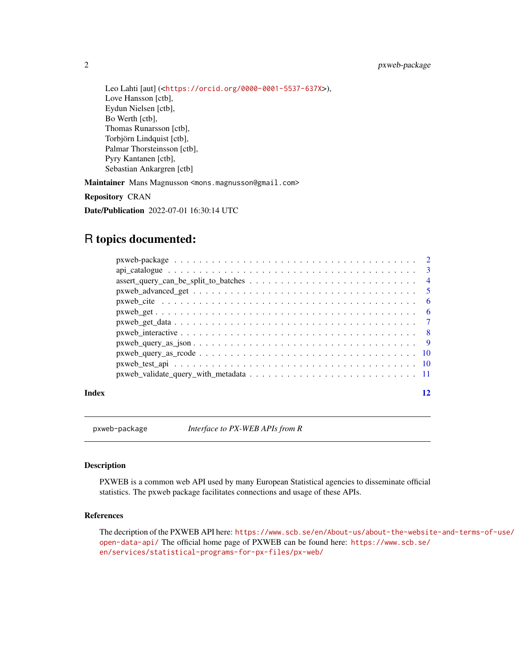<span id="page-1-0"></span>2 pxweb-package

Leo Lahti [aut] (<<https://orcid.org/0000-0001-5537-637X>>), Love Hansson [ctb], Eydun Nielsen [ctb], Bo Werth [ctb], Thomas Runarsson [ctb], Torbjörn Lindquist [ctb], Palmar Thorsteinsson [ctb], Pyry Kantanen [ctb], Sebastian Ankargren [ctb]

Maintainer Mans Magnusson <mons.magnusson@gmail.com>

Repository CRAN

Date/Publication 2022-07-01 16:30:14 UTC

## R topics documented:

| $assert\_query\_can\_be\_split\_to\_batches \dots \dots \dots \dots \dots \dots \dots \dots \dots \dots$                          |  |
|-----------------------------------------------------------------------------------------------------------------------------------|--|
|                                                                                                                                   |  |
|                                                                                                                                   |  |
|                                                                                                                                   |  |
|                                                                                                                                   |  |
|                                                                                                                                   |  |
|                                                                                                                                   |  |
|                                                                                                                                   |  |
|                                                                                                                                   |  |
| $pxweb_value_query_with_metadata \dots \dots \dots \dots \dots \dots \dots \dots \dots \dots \dots \dots \dots \dots \dots \dots$ |  |
|                                                                                                                                   |  |

#### **Index** [12](#page-11-0)

pxweb-package *Interface to PX-WEB APIs from R*

#### Description

PXWEB is a common web API used by many European Statistical agencies to disseminate official statistics. The pxweb package facilitates connections and usage of these APIs.

## References

The decription of the PXWEB API here: [https://www.scb.se/en/About-us/about-the-websit](https://www.scb.se/en/About-us/about-the-website-and-terms-of-use/open-data-api/)e-and-terms-of-use/ [open-data-api/](https://www.scb.se/en/About-us/about-the-website-and-terms-of-use/open-data-api/) The official home page of PXWEB can be found here: [https://www.scb.se/](https://www.scb.se/en/services/statistical-programs-for-px-files/px-web/) [en/services/statistical-programs-for-px-files/px-web/](https://www.scb.se/en/services/statistical-programs-for-px-files/px-web/)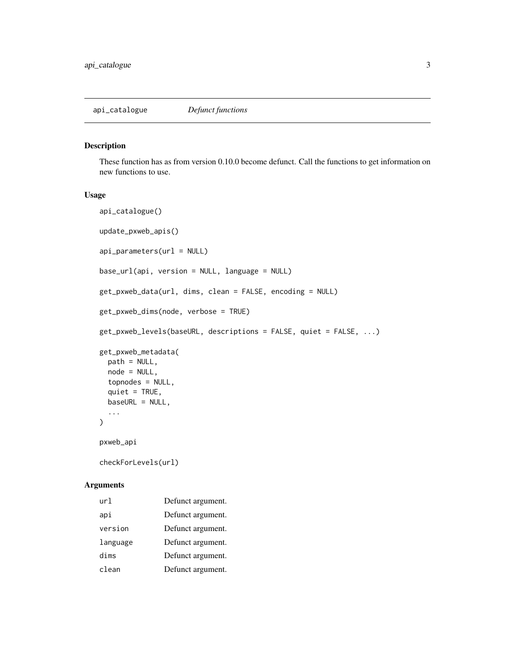#### <span id="page-2-0"></span>Description

These function has as from version 0.10.0 become defunct. Call the functions to get information on new functions to use.

#### Usage

```
api_catalogue()
update_pxweb_apis()
api_parameters(url = NULL)base_url(api, version = NULL, language = NULL)
get_pxweb_data(url, dims, clean = FALSE, encoding = NULL)
get_pxweb_dims(node, verbose = TRUE)
get_pxweb_levels(baseURL, descriptions = FALSE, quiet = FALSE, ...)
get_pxweb_metadata(
 path = NULL,
 node = NULL,
  topnodes = NULL,
  quiet = TRUE,
 baseURL = NULL,
  ...
\mathcal{L}pxweb_api
checkForLevels(url)
```

| url      | Defunct argument. |
|----------|-------------------|
| api      | Defunct argument. |
| version  | Defunct argument. |
| language | Defunct argument. |
| dims     | Defunct argument. |
| clean    | Defunct argument. |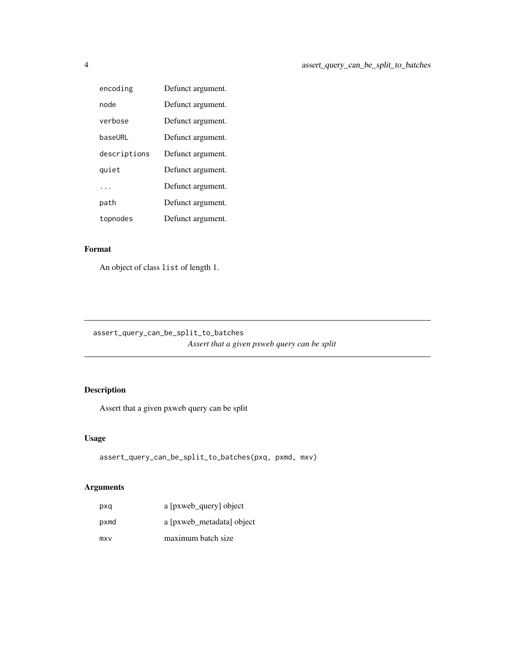<span id="page-3-0"></span>

| encoding     | Defunct argument. |
|--------------|-------------------|
| node         | Defunct argument. |
| verbose      | Defunct argument. |
| baseURL      | Defunct argument. |
| descriptions | Defunct argument. |
| quiet        | Defunct argument. |
|              | Defunct argument. |
| path         | Defunct argument. |
| topnodes     | Defunct argument. |

#### Format

An object of class list of length 1.

assert\_query\_can\_be\_split\_to\_batches *Assert that a given pxweb query can be split*

## Description

Assert that a given pxweb query can be split

## Usage

```
assert_query_can_be_split_to_batches(pxq, pxmd, mxv)
```

| pxq  | a [pxweb query] object    |
|------|---------------------------|
| pxmd | a [pxweb_metadata] object |
| mxv  | maximum batch size        |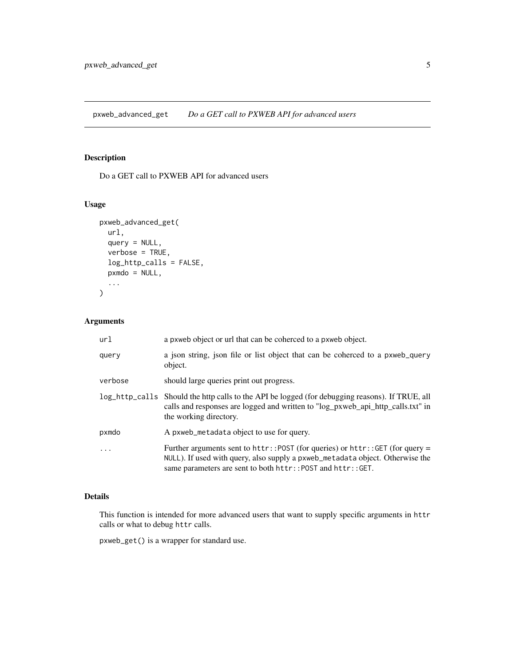<span id="page-4-0"></span>pxweb\_advanced\_get *Do a GET call to PXWEB API for advanced users*

## Description

Do a GET call to PXWEB API for advanced users

## Usage

```
pxweb_advanced_get(
  url,
  query = NULL,
  verbose = TRUE,
  log_http_calls = FALSE,
  pxmdo = NULL,
  ...
\mathcal{L}
```
## Arguments

| url     | a pxweb object or url that can be coherced to a pxweb object.                                                                                                                                                                   |
|---------|---------------------------------------------------------------------------------------------------------------------------------------------------------------------------------------------------------------------------------|
| query   | a json string, json file or list object that can be coherced to a pxweb_query<br>object.                                                                                                                                        |
| verbose | should large queries print out progress.                                                                                                                                                                                        |
|         | log_http_calls Should the http calls to the API be logged (for debugging reasons). If TRUE, all<br>calls and responses are logged and written to "log_pxweb_api_http_calls.txt" in<br>the working directory.                    |
| pxmdo   | A pxweb metadata object to use for query.                                                                                                                                                                                       |
|         | Further arguments sent to httr:: POST (for queries) or $http://GET (for query =$<br>NULL). If used with query, also supply a pxweb_metadata object. Otherwise the<br>same parameters are sent to both httr::POST and httr::GET. |

## Details

This function is intended for more advanced users that want to supply specific arguments in httr calls or what to debug httr calls.

pxweb\_get() is a wrapper for standard use.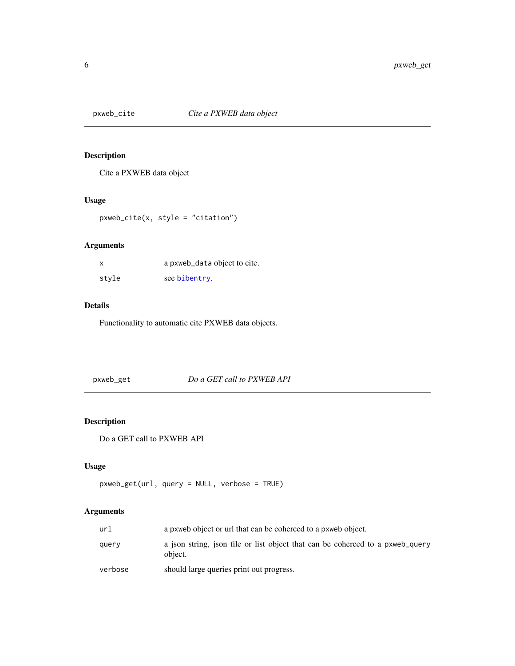<span id="page-5-0"></span>

## Description

Cite a PXWEB data object

## Usage

pxweb\_cite(x, style = "citation")

## Arguments

| x     | a pxweb_data object to cite. |
|-------|------------------------------|
| stvle | see bibentry.                |

## Details

Functionality to automatic cite PXWEB data objects.

<span id="page-5-1"></span>pxweb\_get *Do a GET call to PXWEB API*

## Description

Do a GET call to PXWEB API

## Usage

```
pxweb_get(url, query = NULL, verbose = TRUE)
```

| url     | a pxweb object or url that can be coherced to a pxweb object.                            |
|---------|------------------------------------------------------------------------------------------|
| query   | a json string, json file or list object that can be coherced to a pxweb_query<br>object. |
| verbose | should large queries print out progress.                                                 |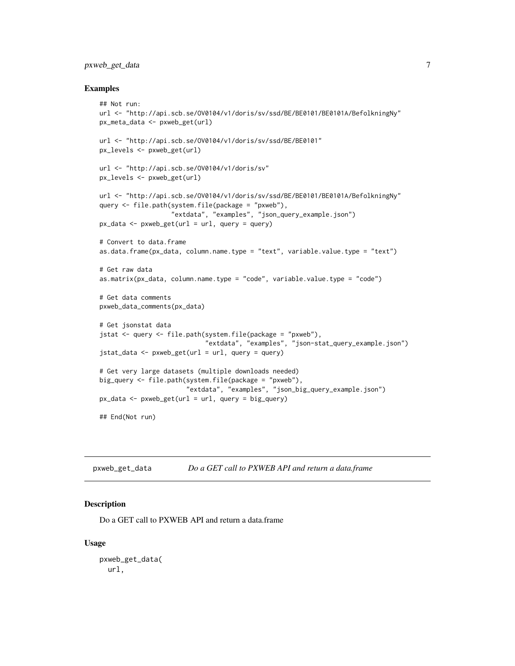## <span id="page-6-0"></span>pxweb\_get\_data 7

#### Examples

```
## Not run:
url <- "http://api.scb.se/OV0104/v1/doris/sv/ssd/BE/BE0101/BE0101A/BefolkningNy"
px_meta_data <- pxweb_get(url)
url <- "http://api.scb.se/OV0104/v1/doris/sv/ssd/BE/BE0101"
px_levels <- pxweb_get(url)
url <- "http://api.scb.se/OV0104/v1/doris/sv"
px_levels <- pxweb_get(url)
url <- "http://api.scb.se/OV0104/v1/doris/sv/ssd/BE/BE0101/BE0101A/BefolkningNy"
query <- file.path(system.file(package = "pxweb"),
                   "extdata", "examples", "json_query_example.json")
px\_data \leq pxweb\_get(url = url, query = query)# Convert to data.frame
as.data.frame(px_data, column.name.type = "text", variable.value.type = "text")
# Get raw data
as.matrix(px_data, column.name.type = "code", variable.value.type = "code")
# Get data comments
pxweb_data_comments(px_data)
# Get jsonstat data
jstat <- query <- file.path(system.file(package = "pxweb"),
                            "extdata", "examples", "json-stat_query_example.json")
jstat_data < -pxweb_set(url = url, query = query)# Get very large datasets (multiple downloads needed)
big_query <- file.path(system.file(package = "pxweb"),
                       "extdata", "examples", "json_big_query_example.json")
px\_data \leq pxweb_get(url = url, query = big_query)
## End(Not run)
```
pxweb\_get\_data *Do a GET call to PXWEB API and return a data.frame*

## Description

Do a GET call to PXWEB API and return a data.frame

#### Usage

```
pxweb_get_data(
 url,
```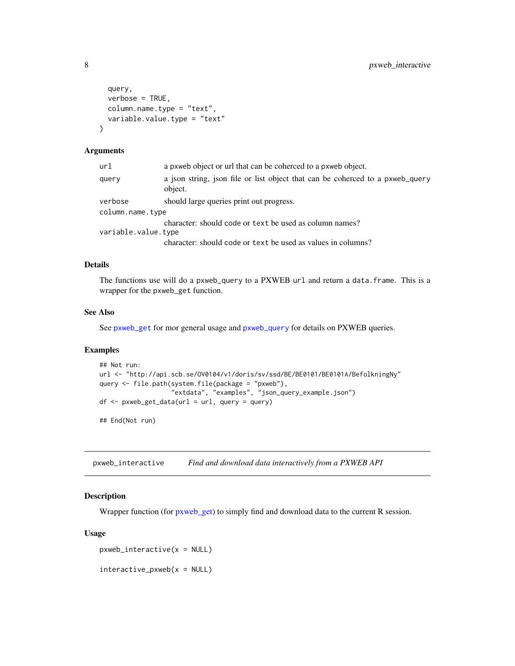```
query,
  verbose = TRUE,
 column.name.type = "text",
  variable.value.type = "text"
)
```
#### Arguments

| url                 | a pxweb object or url that can be coherced to a pxweb object.                            |
|---------------------|------------------------------------------------------------------------------------------|
| query               | a json string, json file or list object that can be coherced to a pxweb_query<br>object. |
| verbose             | should large queries print out progress.                                                 |
| column.name.type    |                                                                                          |
|                     | character: should code or text be used as column names?                                  |
| variable.value.type |                                                                                          |
|                     | character: should code or text be used as values in columns?                             |
|                     |                                                                                          |

### Details

The functions use will do a pxweb\_query to a PXWEB url and return a data.frame. This is a wrapper for the pxweb\_get function.

#### See Also

See [pxweb\\_get](#page-5-1) for mor general usage and [pxweb\\_query](#page-0-0) for details on PXWEB queries.

#### Examples

```
## Not run:
url <- "http://api.scb.se/OV0104/v1/doris/sv/ssd/BE/BE0101/BE0101A/BefolkningNy"
query <- file.path(system.file(package = "pxweb"),
                   "extdata", "examples", "json_query_example.json")
df <- pxweb_get_data(url = url, query = query)
```
## End(Not run)

pxweb\_interactive *Find and download data interactively from a PXWEB API*

#### Description

Wrapper function (for [pxweb\\_get\)](#page-5-1) to simply find and download data to the current R session.

#### Usage

 $pxweb_interestive(x = NULL)$ 

 $interactive\_pxweb(x = NULL)$ 

<span id="page-7-0"></span>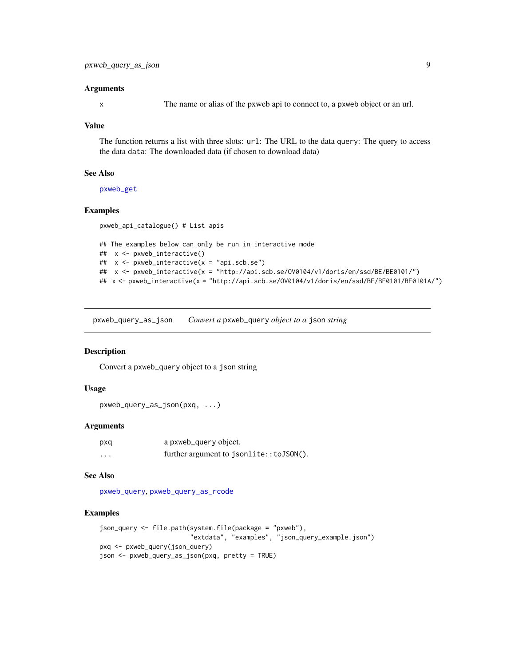#### <span id="page-8-0"></span>**Arguments**

x The name or alias of the pxweb api to connect to, a pxweb object or an url.

### Value

The function returns a list with three slots: url: The URL to the data query: The query to access the data data: The downloaded data (if chosen to download data)

#### See Also

[pxweb\\_get](#page-5-1)

### Examples

```
pxweb_api_catalogue() # List apis
```

```
## The examples below can only be run in interactive mode
## x <- pxweb_interactive()
## x <- pxweb_interactive(x = "api.scb.se")
## x <- pxweb_interactive(x = "http://api.scb.se/OV0104/v1/doris/en/ssd/BE/BE0101/")
## x <- pxweb_interactive(x = "http://api.scb.se/OV0104/v1/doris/en/ssd/BE/BE0101/BE0101A/")
```
<span id="page-8-1"></span>pxweb\_query\_as\_json *Convert a* pxweb\_query *object to a* json *string*

## Description

Convert a pxweb\_query object to a json string

### Usage

```
pxweb_query_as_json(pxq, ...)
```
#### Arguments

| pxq | a pxweb_query object.                   |
|-----|-----------------------------------------|
| .   | further argument to jsonlite::toJSON(). |

#### See Also

[pxweb\\_query](#page-0-0), [pxweb\\_query\\_as\\_rcode](#page-9-1)

#### Examples

```
json_query <- file.path(system.file(package = "pxweb"),
                        "extdata", "examples", "json_query_example.json")
pxq <- pxweb_query(json_query)
json <- pxweb_query_as_json(pxq, pretty = TRUE)
```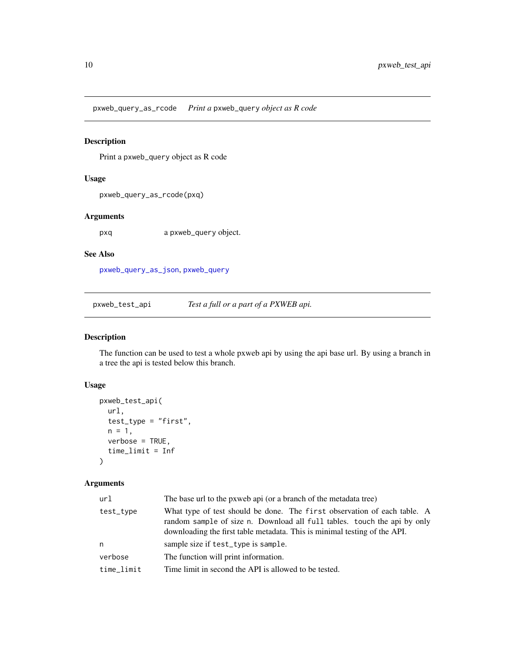<span id="page-9-1"></span><span id="page-9-0"></span>pxweb\_query\_as\_rcode *Print a* pxweb\_query *object as R code*

### Description

Print a pxweb\_query object as R code

#### Usage

pxweb\_query\_as\_rcode(pxq)

### Arguments

pxq a pxweb\_query object.

#### See Also

[pxweb\\_query\\_as\\_json](#page-8-1), [pxweb\\_query](#page-0-0)

pxweb\_test\_api *Test a full or a part of a PXWEB api.*

## Description

The function can be used to test a whole pxweb api by using the api base url. By using a branch in a tree the api is tested below this branch.

## Usage

```
pxweb_test_api(
  url,
  test_type = "first",
  n = 1,
  verbose = TRUE,
  time_limit = Inf
\mathcal{L}
```

| url        | The base url to the pxweb api (or a branch of the metadata tree)                                                                                                                                                                  |  |
|------------|-----------------------------------------------------------------------------------------------------------------------------------------------------------------------------------------------------------------------------------|--|
| test_type  | What type of test should be done. The first observation of each table. A<br>random sample of size n. Download all full tables. touch the api by only<br>downloading the first table metadata. This is minimal testing of the API. |  |
| n          | sample size if test_type is sample.                                                                                                                                                                                               |  |
| verbose    | The function will print information.                                                                                                                                                                                              |  |
| time limit | Time limit in second the API is allowed to be tested.                                                                                                                                                                             |  |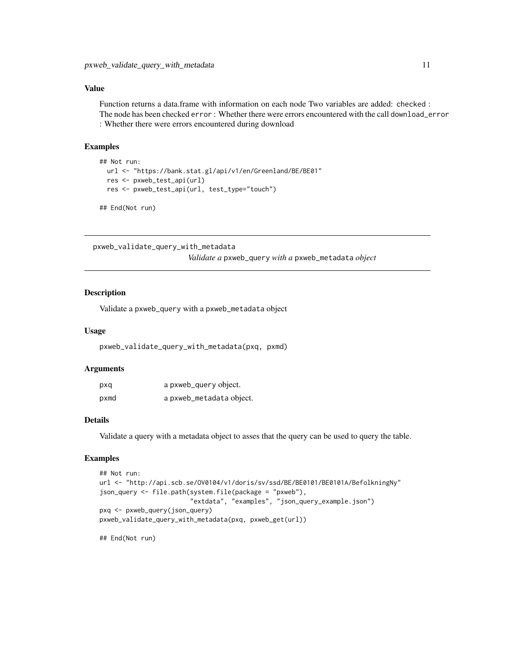#### <span id="page-10-0"></span>Value

Function returns a data.frame with information on each node Two variables are added: checked : The node has been checked error : Whether there were errors encountered with the call download\_error : Whether there were errors encountered during download

#### Examples

```
## Not run:
 url <- "https://bank.stat.gl/api/v1/en/Greenland/BE/BE01"
 res <- pxweb_test_api(url)
 res <- pxweb_test_api(url, test_type="touch")
```

```
## End(Not run)
```
pxweb\_validate\_query\_with\_metadata

*Validate a* pxweb\_query *with a* pxweb\_metadata *object*

#### Description

Validate a pxweb\_query with a pxweb\_metadata object

#### Usage

pxweb\_validate\_query\_with\_metadata(pxq, pxmd)

#### Arguments

| pxq  | a pxweb_query object.    |
|------|--------------------------|
| pxmd | a pxweb_metadata object. |

## Details

Validate a query with a metadata object to asses that the query can be used to query the table.

## Examples

```
## Not run:
url <- "http://api.scb.se/OV0104/v1/doris/sv/ssd/BE/BE0101/BE0101A/BefolkningNy"
json_query <- file.path(system.file(package = "pxweb"),
                        "extdata", "examples", "json_query_example.json")
pxq <- pxweb_query(json_query)
pxweb_validate_query_with_metadata(pxq, pxweb_get(url))
```
## End(Not run)